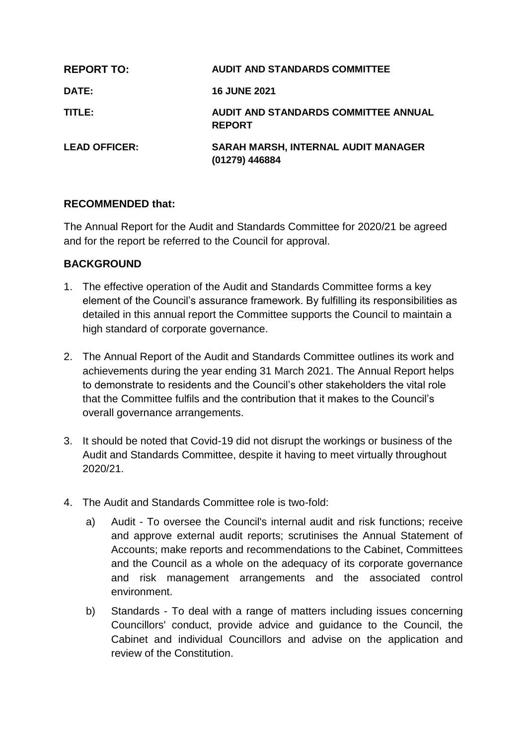| <b>REPORT TO:</b>    | <b>AUDIT AND STANDARDS COMMITTEE</b>                  |
|----------------------|-------------------------------------------------------|
| DATE:                | <b>16 JUNE 2021</b>                                   |
| TITLE:               | AUDIT AND STANDARDS COMMITTEE ANNUAL<br><b>REPORT</b> |
| <b>LEAD OFFICER:</b> | SARAH MARSH, INTERNAL AUDIT MANAGER<br>(01279) 446884 |

### **RECOMMENDED that:**

The Annual Report for the Audit and Standards Committee for 2020/21 be agreed and for the report be referred to the Council for approval.

#### **BACKGROUND**

- 1. The effective operation of the Audit and Standards Committee forms a key element of the Council's assurance framework. By fulfilling its responsibilities as detailed in this annual report the Committee supports the Council to maintain a high standard of corporate governance.
- 2. The Annual Report of the Audit and Standards Committee outlines its work and achievements during the year ending 31 March 2021. The Annual Report helps to demonstrate to residents and the Council's other stakeholders the vital role that the Committee fulfils and the contribution that it makes to the Council's overall governance arrangements.
- 3. It should be noted that Covid-19 did not disrupt the workings or business of the Audit and Standards Committee, despite it having to meet virtually throughout 2020/21.
- 4. The Audit and Standards Committee role is two-fold:
	- a) Audit To oversee the Council's internal audit and risk functions; receive and approve external audit reports; scrutinises the Annual Statement of Accounts; make reports and recommendations to the Cabinet, Committees and the Council as a whole on the adequacy of its corporate governance and risk management arrangements and the associated control environment.
	- b) Standards To deal with a range of matters including issues concerning Councillors' conduct, provide advice and guidance to the Council, the Cabinet and individual Councillors and advise on the application and review of the Constitution.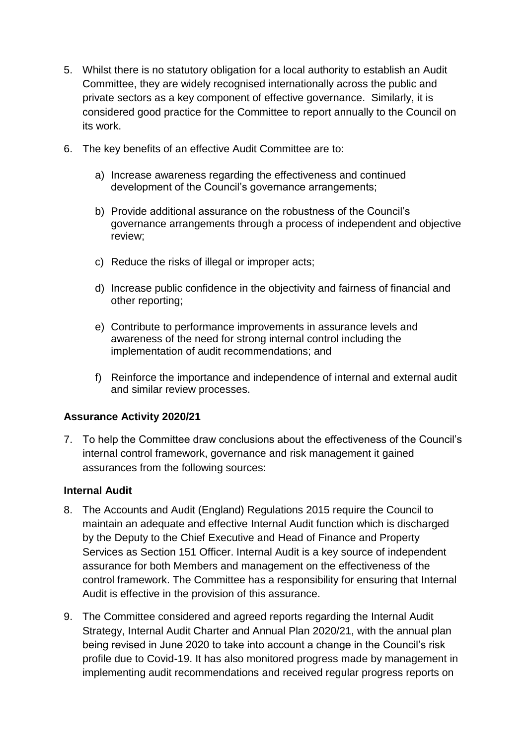- 5. Whilst there is no statutory obligation for a local authority to establish an Audit Committee, they are widely recognised internationally across the public and private sectors as a key component of effective governance. Similarly, it is considered good practice for the Committee to report annually to the Council on its work.
- 6. The key benefits of an effective Audit Committee are to:
	- a) Increase awareness regarding the effectiveness and continued development of the Council's governance arrangements;
	- b) Provide additional assurance on the robustness of the Council's governance arrangements through a process of independent and objective review;
	- c) Reduce the risks of illegal or improper acts;
	- d) Increase public confidence in the objectivity and fairness of financial and other reporting;
	- e) Contribute to performance improvements in assurance levels and awareness of the need for strong internal control including the implementation of audit recommendations; and
	- f) Reinforce the importance and independence of internal and external audit and similar review processes.

# **Assurance Activity 2020/21**

7. To help the Committee draw conclusions about the effectiveness of the Council's internal control framework, governance and risk management it gained assurances from the following sources:

# **Internal Audit**

- 8. The Accounts and Audit (England) Regulations 2015 require the Council to maintain an adequate and effective Internal Audit function which is discharged by the Deputy to the Chief Executive and Head of Finance and Property Services as Section 151 Officer. Internal Audit is a key source of independent assurance for both Members and management on the effectiveness of the control framework. The Committee has a responsibility for ensuring that Internal Audit is effective in the provision of this assurance.
- 9. The Committee considered and agreed reports regarding the Internal Audit Strategy, Internal Audit Charter and Annual Plan 2020/21, with the annual plan being revised in June 2020 to take into account a change in the Council's risk profile due to Covid-19. It has also monitored progress made by management in implementing audit recommendations and received regular progress reports on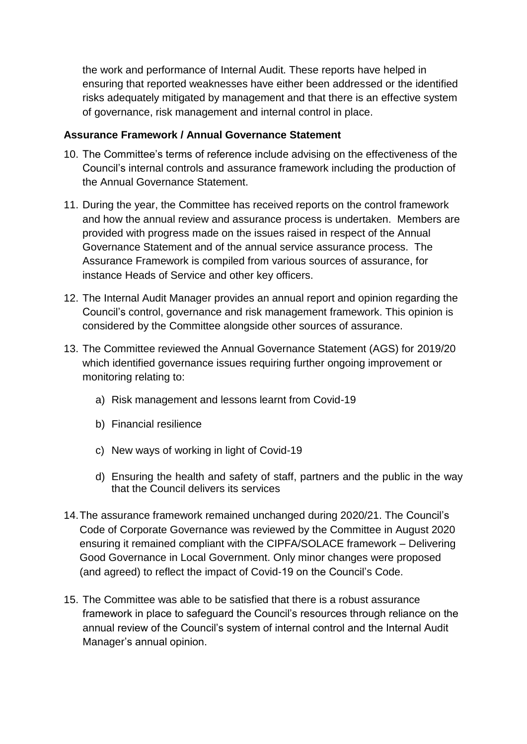the work and performance of Internal Audit. These reports have helped in ensuring that reported weaknesses have either been addressed or the identified risks adequately mitigated by management and that there is an effective system of governance, risk management and internal control in place.

### **Assurance Framework / Annual Governance Statement**

- 10. The Committee's terms of reference include advising on the effectiveness of the Council's internal controls and assurance framework including the production of the Annual Governance Statement.
- 11. During the year, the Committee has received reports on the control framework and how the annual review and assurance process is undertaken. Members are provided with progress made on the issues raised in respect of the Annual Governance Statement and of the annual service assurance process. The Assurance Framework is compiled from various sources of assurance, for instance Heads of Service and other key officers.
- 12. The Internal Audit Manager provides an annual report and opinion regarding the Council's control, governance and risk management framework. This opinion is considered by the Committee alongside other sources of assurance.
- 13. The Committee reviewed the Annual Governance Statement (AGS) for 2019/20 which identified governance issues requiring further ongoing improvement or monitoring relating to:
	- a) Risk management and lessons learnt from Covid-19
	- b) Financial resilience
	- c) New ways of working in light of Covid-19
	- d) Ensuring the health and safety of staff, partners and the public in the way that the Council delivers its services
- 14.The assurance framework remained unchanged during 2020/21. The Council's Code of Corporate Governance was reviewed by the Committee in August 2020 ensuring it remained compliant with the CIPFA/SOLACE framework – Delivering Good Governance in Local Government. Only minor changes were proposed (and agreed) to reflect the impact of Covid-19 on the Council's Code.
- 15. The Committee was able to be satisfied that there is a robust assurance framework in place to safeguard the Council's resources through reliance on the annual review of the Council's system of internal control and the Internal Audit Manager's annual opinion.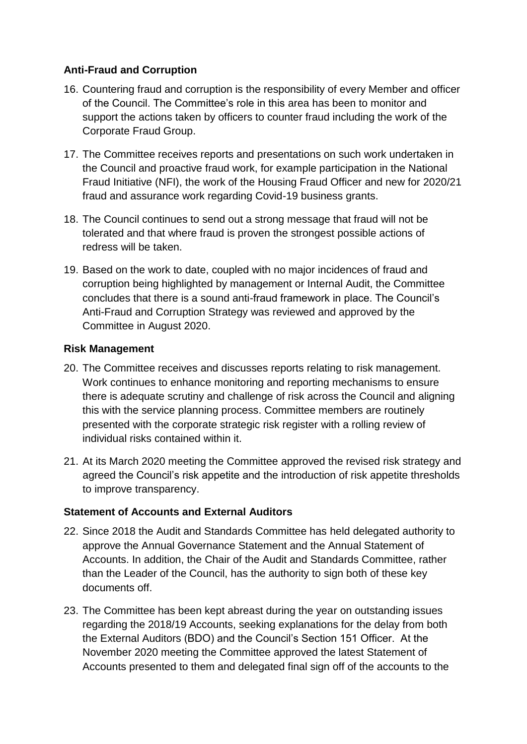# **Anti-Fraud and Corruption**

- 16. Countering fraud and corruption is the responsibility of every Member and officer of the Council. The Committee's role in this area has been to monitor and support the actions taken by officers to counter fraud including the work of the Corporate Fraud Group.
- 17. The Committee receives reports and presentations on such work undertaken in the Council and proactive fraud work, for example participation in the National Fraud Initiative (NFI), the work of the Housing Fraud Officer and new for 2020/21 fraud and assurance work regarding Covid-19 business grants.
- 18. The Council continues to send out a strong message that fraud will not be tolerated and that where fraud is proven the strongest possible actions of redress will be taken.
- 19. Based on the work to date, coupled with no major incidences of fraud and corruption being highlighted by management or Internal Audit, the Committee concludes that there is a sound anti-fraud framework in place. The Council's Anti-Fraud and Corruption Strategy was reviewed and approved by the Committee in August 2020.

### **Risk Management**

- 20. The Committee receives and discusses reports relating to risk management. Work continues to enhance monitoring and reporting mechanisms to ensure there is adequate scrutiny and challenge of risk across the Council and aligning this with the service planning process. Committee members are routinely presented with the corporate strategic risk register with a rolling review of individual risks contained within it.
- 21. At its March 2020 meeting the Committee approved the revised risk strategy and agreed the Council's risk appetite and the introduction of risk appetite thresholds to improve transparency.

# **Statement of Accounts and External Auditors**

- 22. Since 2018 the Audit and Standards Committee has held delegated authority to approve the Annual Governance Statement and the Annual Statement of Accounts. In addition, the Chair of the Audit and Standards Committee, rather than the Leader of the Council, has the authority to sign both of these key documents off.
- 23. The Committee has been kept abreast during the year on outstanding issues regarding the 2018/19 Accounts, seeking explanations for the delay from both the External Auditors (BDO) and the Council's Section 151 Officer. At the November 2020 meeting the Committee approved the latest Statement of Accounts presented to them and delegated final sign off of the accounts to the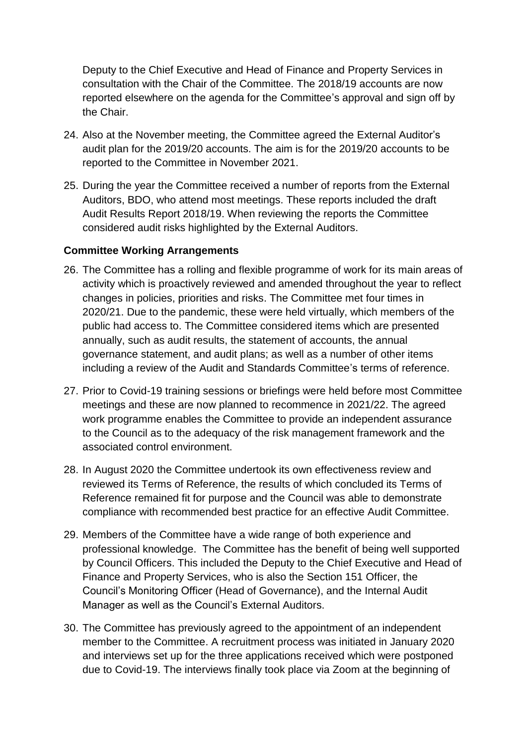Deputy to the Chief Executive and Head of Finance and Property Services in consultation with the Chair of the Committee. The 2018/19 accounts are now reported elsewhere on the agenda for the Committee's approval and sign off by the Chair.

- 24. Also at the November meeting, the Committee agreed the External Auditor's audit plan for the 2019/20 accounts. The aim is for the 2019/20 accounts to be reported to the Committee in November 2021.
- 25. During the year the Committee received a number of reports from the External Auditors, BDO, who attend most meetings. These reports included the draft Audit Results Report 2018/19. When reviewing the reports the Committee considered audit risks highlighted by the External Auditors.

# **Committee Working Arrangements**

- 26. The Committee has a rolling and flexible programme of work for its main areas of activity which is proactively reviewed and amended throughout the year to reflect changes in policies, priorities and risks. The Committee met four times in 2020/21. Due to the pandemic, these were held virtually, which members of the public had access to. The Committee considered items which are presented annually, such as audit results, the statement of accounts, the annual governance statement, and audit plans; as well as a number of other items including a review of the Audit and Standards Committee's terms of reference.
- 27. Prior to Covid-19 training sessions or briefings were held before most Committee meetings and these are now planned to recommence in 2021/22. The agreed work programme enables the Committee to provide an independent assurance to the Council as to the adequacy of the risk management framework and the associated control environment.
- 28. In August 2020 the Committee undertook its own effectiveness review and reviewed its Terms of Reference, the results of which concluded its Terms of Reference remained fit for purpose and the Council was able to demonstrate compliance with recommended best practice for an effective Audit Committee.
- 29. Members of the Committee have a wide range of both experience and professional knowledge. The Committee has the benefit of being well supported by Council Officers. This included the Deputy to the Chief Executive and Head of Finance and Property Services, who is also the Section 151 Officer, the Council's Monitoring Officer (Head of Governance), and the Internal Audit Manager as well as the Council's External Auditors.
- 30. The Committee has previously agreed to the appointment of an independent member to the Committee. A recruitment process was initiated in January 2020 and interviews set up for the three applications received which were postponed due to Covid-19. The interviews finally took place via Zoom at the beginning of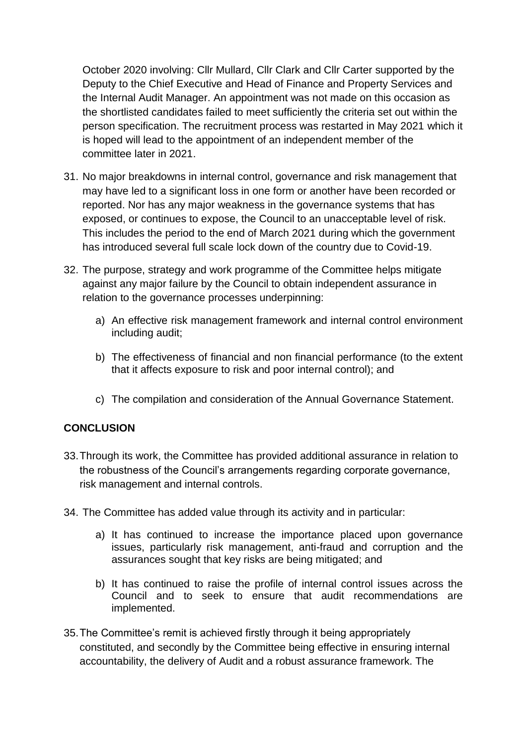October 2020 involving: Cllr Mullard, Cllr Clark and Cllr Carter supported by the Deputy to the Chief Executive and Head of Finance and Property Services and the Internal Audit Manager. An appointment was not made on this occasion as the shortlisted candidates failed to meet sufficiently the criteria set out within the person specification. The recruitment process was restarted in May 2021 which it is hoped will lead to the appointment of an independent member of the committee later in 2021.

- 31. No major breakdowns in internal control, governance and risk management that may have led to a significant loss in one form or another have been recorded or reported. Nor has any major weakness in the governance systems that has exposed, or continues to expose, the Council to an unacceptable level of risk. This includes the period to the end of March 2021 during which the government has introduced several full scale lock down of the country due to Covid-19.
- 32. The purpose, strategy and work programme of the Committee helps mitigate against any major failure by the Council to obtain independent assurance in relation to the governance processes underpinning:
	- a) An effective risk management framework and internal control environment including audit;
	- b) The effectiveness of financial and non financial performance (to the extent that it affects exposure to risk and poor internal control); and
	- c) The compilation and consideration of the Annual Governance Statement.

# **CONCLUSION**

- 33.Through its work, the Committee has provided additional assurance in relation to the robustness of the Council's arrangements regarding corporate governance, risk management and internal controls.
- 34. The Committee has added value through its activity and in particular:
	- a) It has continued to increase the importance placed upon governance issues, particularly risk management, anti-fraud and corruption and the assurances sought that key risks are being mitigated; and
	- b) It has continued to raise the profile of internal control issues across the Council and to seek to ensure that audit recommendations are implemented.
- 35.The Committee's remit is achieved firstly through it being appropriately constituted, and secondly by the Committee being effective in ensuring internal accountability, the delivery of Audit and a robust assurance framework. The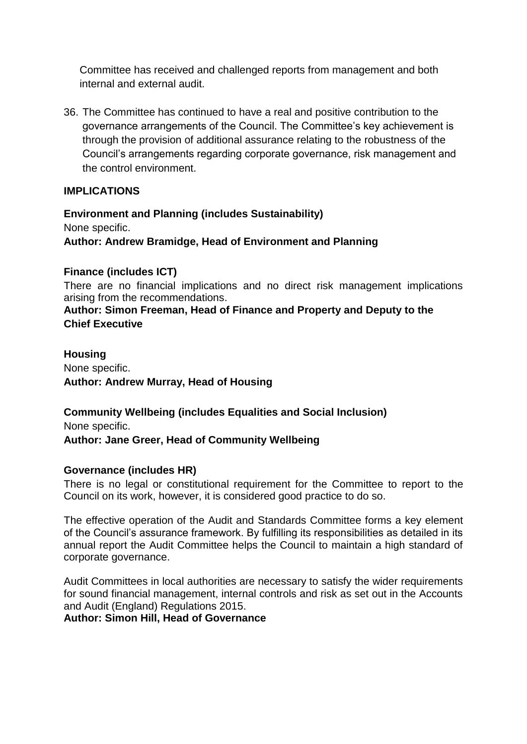Committee has received and challenged reports from management and both internal and external audit.

36. The Committee has continued to have a real and positive contribution to the governance arrangements of the Council. The Committee's key achievement is through the provision of additional assurance relating to the robustness of the Council's arrangements regarding corporate governance, risk management and the control environment.

### **IMPLICATIONS**

**Environment and Planning (includes Sustainability)** None specific. **Author: Andrew Bramidge, Head of Environment and Planning**

### **Finance (includes ICT)**

There are no financial implications and no direct risk management implications arising from the recommendations.

**Author: Simon Freeman, Head of Finance and Property and Deputy to the Chief Executive**

**Housing** None specific. **Author: Andrew Murray, Head of Housing**

**Community Wellbeing (includes Equalities and Social Inclusion)** None specific.

#### **Author: Jane Greer, Head of Community Wellbeing**

#### **Governance (includes HR)**

There is no legal or constitutional requirement for the Committee to report to the Council on its work, however, it is considered good practice to do so.

The effective operation of the Audit and Standards Committee forms a key element of the Council's assurance framework. By fulfilling its responsibilities as detailed in its annual report the Audit Committee helps the Council to maintain a high standard of corporate governance.

Audit Committees in local authorities are necessary to satisfy the wider requirements for sound financial management, internal controls and risk as set out in the Accounts and Audit (England) Regulations 2015.

**Author: Simon Hill, Head of Governance**